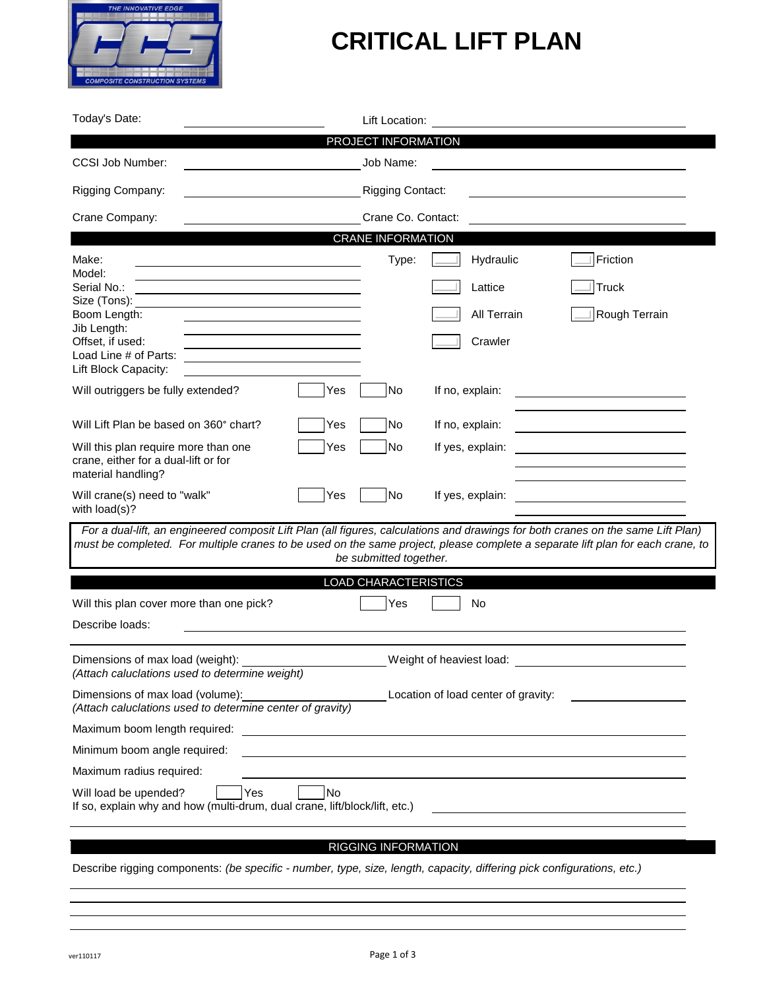

## **CRITICAL LIFT PLAN**

| Today's Date:                                                                                                           | Lift Location:                                                                                                                                                                                                                                                                               |
|-------------------------------------------------------------------------------------------------------------------------|----------------------------------------------------------------------------------------------------------------------------------------------------------------------------------------------------------------------------------------------------------------------------------------------|
|                                                                                                                         | PROJECT INFORMATION                                                                                                                                                                                                                                                                          |
| <b>CCSI Job Number:</b>                                                                                                 | Job Name:                                                                                                                                                                                                                                                                                    |
| Rigging Company:                                                                                                        | <b>Rigging Contact:</b>                                                                                                                                                                                                                                                                      |
| Crane Company:                                                                                                          | Crane Co. Contact:                                                                                                                                                                                                                                                                           |
|                                                                                                                         | <b>CRANE INFORMATION</b>                                                                                                                                                                                                                                                                     |
| Make:<br>Model:                                                                                                         | Friction<br>Hydraulic<br>Type:                                                                                                                                                                                                                                                               |
| Serial No.:<br>Size (Tons):                                                                                             | <b>Truck</b><br>Lattice                                                                                                                                                                                                                                                                      |
| Boom Length:                                                                                                            | Rough Terrain<br><b>All Terrain</b>                                                                                                                                                                                                                                                          |
| Jib Length:<br>Offset, if used:<br>Load Line # of Parts:<br>Lift Block Capacity:                                        | Crawler                                                                                                                                                                                                                                                                                      |
| Will outriggers be fully extended?<br>Yes                                                                               | No<br>If no, explain:                                                                                                                                                                                                                                                                        |
| Will Lift Plan be based on 360° chart?<br>Yes                                                                           | No<br>If no, explain:                                                                                                                                                                                                                                                                        |
| Will this plan require more than one<br>Yes<br>crane, either for a dual-lift or for<br>material handling?               | If yes, explain:<br>No                                                                                                                                                                                                                                                                       |
| Will crane(s) need to "walk"<br>Yes<br>with load(s)?                                                                    | No<br>If yes, explain:                                                                                                                                                                                                                                                                       |
|                                                                                                                         | For a dual-lift, an engineered composit Lift Plan (all figures, calculations and drawings for both cranes on the same Lift Plan)<br>must be completed. For multiple cranes to be used on the same project, please complete a separate lift plan for each crane, to<br>be submitted together. |
|                                                                                                                         | <b>LOAD CHARACTERISTICS</b>                                                                                                                                                                                                                                                                  |
| Will this plan cover more than one pick?                                                                                | No<br>Yes                                                                                                                                                                                                                                                                                    |
| Describe loads:                                                                                                         |                                                                                                                                                                                                                                                                                              |
| Dimensions of max load (weight):<br>(Attach caluclations used to determine weight)                                      | Weight of heaviest load:                                                                                                                                                                                                                                                                     |
| Dimensions of max load (volume):<br>(Attach caluclations used to determine center of gravity)                           | Location of load center of gravity:                                                                                                                                                                                                                                                          |
| Maximum boom length required:                                                                                           | <u> 1989 - Johann Stein, fransk politiker (d. 1989)</u>                                                                                                                                                                                                                                      |
| Minimum boom angle required:                                                                                            |                                                                                                                                                                                                                                                                                              |
| Maximum radius required:                                                                                                |                                                                                                                                                                                                                                                                                              |
| Will load be upended?<br><b>No</b><br>Yes<br>If so, explain why and how (multi-drum, dual crane, lift/block/lift, etc.) |                                                                                                                                                                                                                                                                                              |

## RIGGING INFORMATION

Describe rigging components: *(be specific - number, type, size, length, capacity, differing pick configurations, etc.)*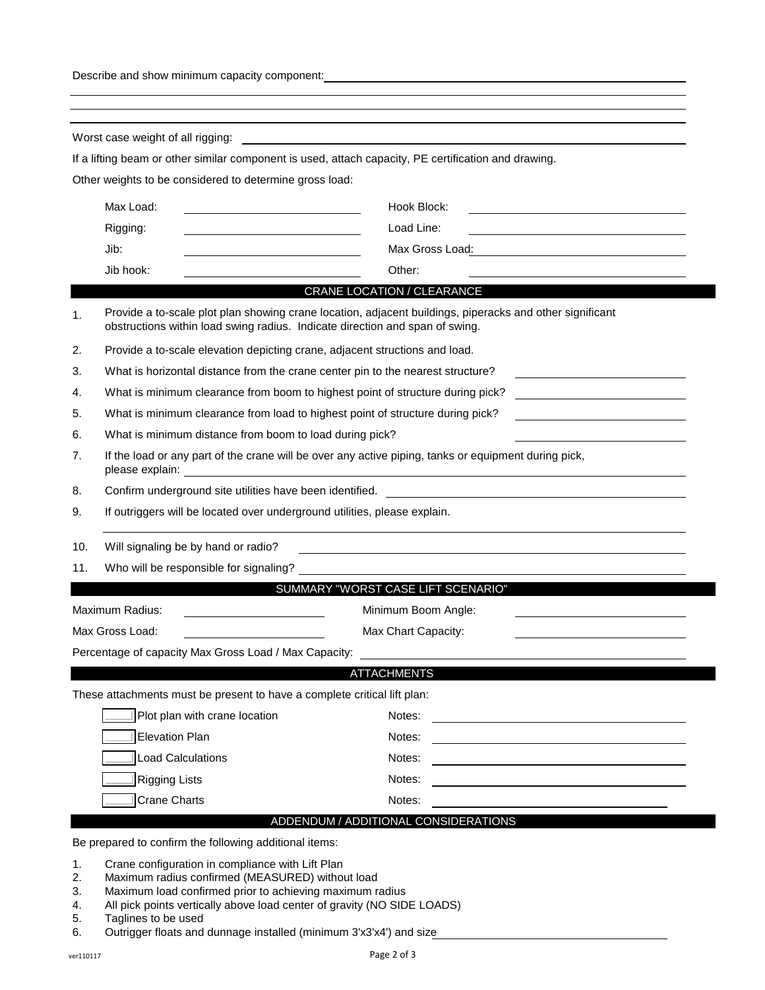Describe and show minimum capacity component:

|     | Other weights to be considered to determine gross load:<br>Max Load:                                                                                                                     | If a lifting beam or other similar component is used, attach capacity, PE certification and drawing. |  |
|-----|------------------------------------------------------------------------------------------------------------------------------------------------------------------------------------------|------------------------------------------------------------------------------------------------------|--|
|     |                                                                                                                                                                                          |                                                                                                      |  |
|     |                                                                                                                                                                                          |                                                                                                      |  |
|     |                                                                                                                                                                                          | Hook Block:                                                                                          |  |
|     | Rigging:                                                                                                                                                                                 | Load Line:                                                                                           |  |
|     | Jib:                                                                                                                                                                                     | Max Gross Load:<br><u> 1989 - John Stein, Amerikaansk politiker (</u>                                |  |
|     | Jib hook:                                                                                                                                                                                | Other:                                                                                               |  |
|     |                                                                                                                                                                                          | CRANE LOCATION / CLEARANCE                                                                           |  |
| 1.  | Provide a to-scale plot plan showing crane location, adjacent buildings, piperacks and other significant<br>obstructions within load swing radius. Indicate direction and span of swing. |                                                                                                      |  |
| 2.  | Provide a to-scale elevation depicting crane, adjacent structions and load.                                                                                                              |                                                                                                      |  |
| 3.  | What is horizontal distance from the crane center pin to the nearest structure?                                                                                                          |                                                                                                      |  |
| 4.  | What is minimum clearance from boom to highest point of structure during pick?                                                                                                           |                                                                                                      |  |
| 5.  | What is minimum clearance from load to highest point of structure during pick?                                                                                                           |                                                                                                      |  |
| 6.  | What is minimum distance from boom to load during pick?                                                                                                                                  |                                                                                                      |  |
| 7.  | If the load or any part of the crane will be over any active piping, tanks or equipment during pick,                                                                                     |                                                                                                      |  |
| 8.  | Confirm underground site utilities have been identified.                                                                                                                                 |                                                                                                      |  |
| 9.  | If outriggers will be located over underground utilities, please explain.                                                                                                                |                                                                                                      |  |
| 10. | Will signaling be by hand or radio?                                                                                                                                                      |                                                                                                      |  |
| 11. | Who will be responsible for signaling?                                                                                                                                                   |                                                                                                      |  |
|     |                                                                                                                                                                                          | SUMMARY "WORST CASE LIFT SCENARIO"                                                                   |  |
|     | Maximum Radius:<br>Minimum Boom Angle:                                                                                                                                                   |                                                                                                      |  |
|     | Max Gross Load:                                                                                                                                                                          | Max Chart Capacity:                                                                                  |  |
|     | Percentage of capacity Max Gross Load / Max Capacity:                                                                                                                                    |                                                                                                      |  |
|     |                                                                                                                                                                                          | <b>ATTACHMENTS</b>                                                                                   |  |
|     | These attachments must be present to have a complete critical lift plan:                                                                                                                 |                                                                                                      |  |
|     | Plot plan with crane location                                                                                                                                                            | Notes:                                                                                               |  |
|     | <b>Elevation Plan</b>                                                                                                                                                                    | Notes:                                                                                               |  |
|     | Load Calculations                                                                                                                                                                        | Notes:                                                                                               |  |
|     | <b>Rigging Lists</b>                                                                                                                                                                     | Notes:                                                                                               |  |
|     | <b>Crane Charts</b>                                                                                                                                                                      | Notes:                                                                                               |  |
|     | Be prepared to confirm the following additional items:                                                                                                                                   | ADDENDUM / ADDITIONAL CONSIDERATIONS                                                                 |  |

- 4. All pick points vertically above load center of gravity (NO SIDE LOADS)
- 5. Taglines to be used
- 6. Outrigger floats and dunnage installed (minimum 3'x3'x4') and size